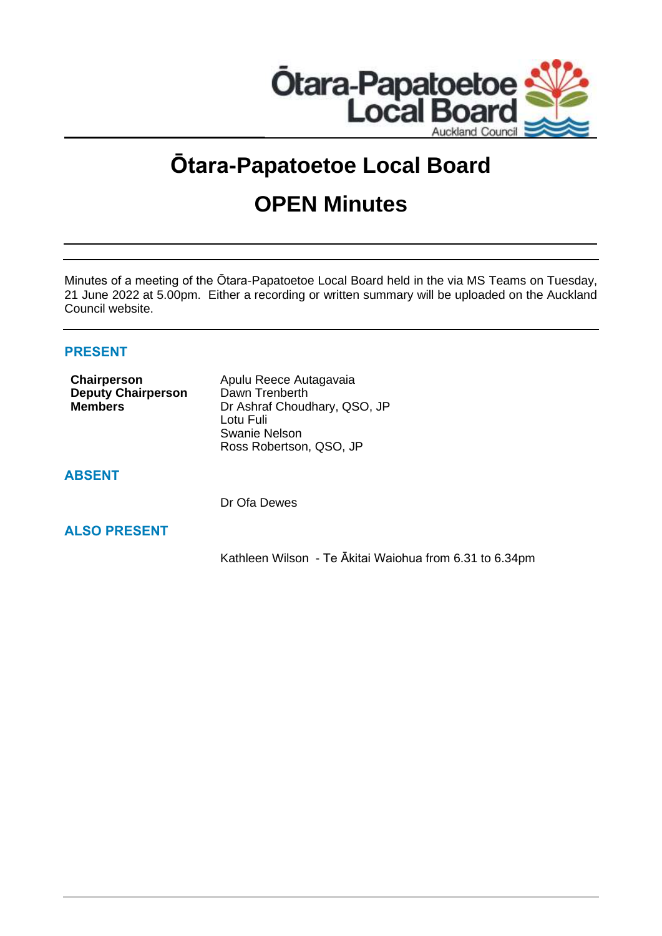

# **Ōtara-Papatoetoe Local Board**

## **OPEN Minutes**

Minutes of a meeting of the Ōtara-Papatoetoe Local Board held in the via MS Teams on Tuesday, 21 June 2022 at 5.00pm. Either a recording or written summary will be uploaded on the Auckland Council website.

## **PRESENT**

| Chairperson<br><b>Deputy Chairperson</b><br><b>Members</b> | Apulu Reece Autagavaia<br>Dawn Trenberth<br>Dr Ashraf Choudhary, QSO, JP<br>Lotu Fuli<br>Swanie Nelson<br>Ross Robertson, QSO, JP |
|------------------------------------------------------------|-----------------------------------------------------------------------------------------------------------------------------------|
| <b>ADGENT</b>                                              |                                                                                                                                   |

## **ABSENT**

Dr Ofa Dewes

## **ALSO PRESENT**

Kathleen Wilson - Te Ākitai Waiohua from 6.31 to 6.34pm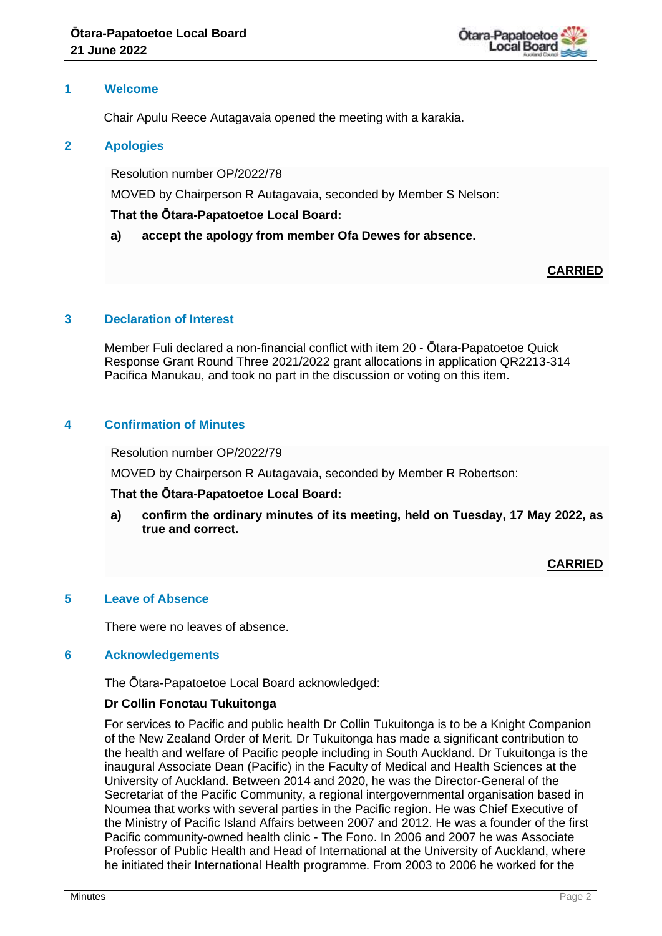

## **1 Welcome**

Chair Apulu Reece Autagavaia opened the meeting with a karakia.

## **2 Apologies**

Resolution number OP/2022/78

MOVED by Chairperson R Autagavaia, seconded by Member S Nelson:

## **That the Ōtara-Papatoetoe Local Board:**

**a) accept the apology from member Ofa Dewes for absence.**

## **CARRIED**

## **3 Declaration of Interest**

Member Fuli declared a non-financial conflict with item 20 - Ōtara-Papatoetoe Quick Response Grant Round Three 2021/2022 grant allocations in application QR2213-314 Pacifica Manukau, and took no part in the discussion or voting on this item.

## **4 Confirmation of Minutes**

Resolution number OP/2022/79

MOVED by Chairperson R Autagavaia, seconded by Member R Robertson:

## **That the Ōtara-Papatoetoe Local Board:**

**a) confirm the ordinary minutes of its meeting, held on Tuesday, 17 May 2022, as true and correct.**

## **CARRIED**

## **5 Leave of Absence**

There were no leaves of absence.

## **6 Acknowledgements**

The Ōtara-Papatoetoe Local Board acknowledged:

## **Dr Collin Fonotau Tukuitonga**

For services to Pacific and public health Dr Collin Tukuitonga is to be a Knight Companion of the New Zealand Order of Merit. Dr Tukuitonga has made a significant contribution to the health and welfare of Pacific people including in South Auckland. Dr Tukuitonga is the inaugural Associate Dean (Pacific) in the Faculty of Medical and Health Sciences at the University of Auckland. Between 2014 and 2020, he was the Director-General of the Secretariat of the Pacific Community, a regional intergovernmental organisation based in Noumea that works with several parties in the Pacific region. He was Chief Executive of the Ministry of Pacific Island Affairs between 2007 and 2012. He was a founder of the first Pacific community-owned health clinic - The Fono. In 2006 and 2007 he was Associate Professor of Public Health and Head of International at the University of Auckland, where he initiated their International Health programme. From 2003 to 2006 he worked for the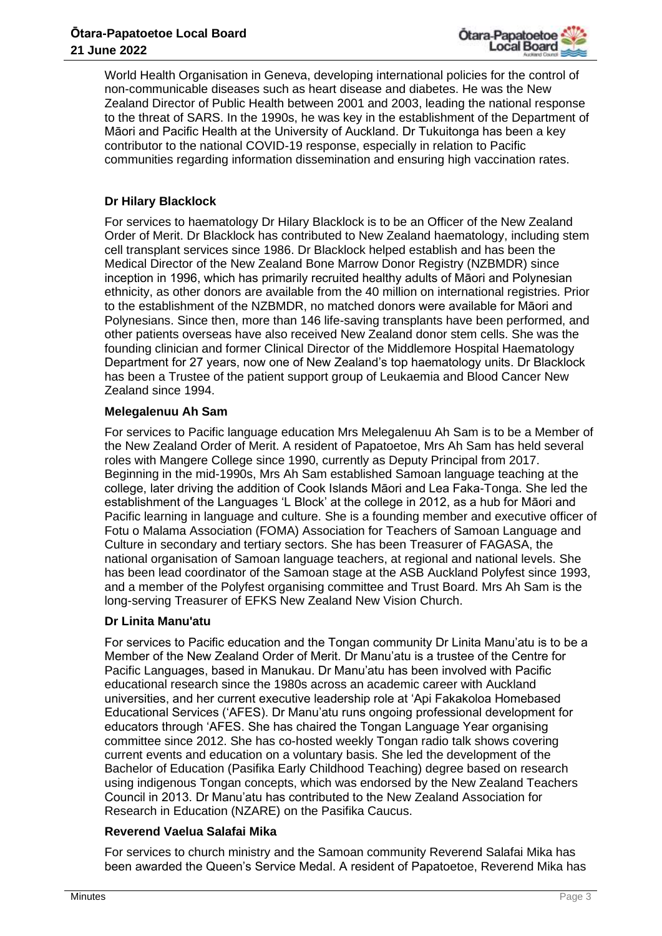

World Health Organisation in Geneva, developing international policies for the control of non-communicable diseases such as heart disease and diabetes. He was the New Zealand Director of Public Health between 2001 and 2003, leading the national response to the threat of SARS. In the 1990s, he was key in the establishment of the Department of Māori and Pacific Health at the University of Auckland. Dr Tukuitonga has been a key contributor to the national COVID-19 response, especially in relation to Pacific communities regarding information dissemination and ensuring high vaccination rates.

## **Dr Hilary Blacklock**

For services to haematology Dr Hilary Blacklock is to be an Officer of the New Zealand Order of Merit. Dr Blacklock has contributed to New Zealand haematology, including stem cell transplant services since 1986. Dr Blacklock helped establish and has been the Medical Director of the New Zealand Bone Marrow Donor Registry (NZBMDR) since inception in 1996, which has primarily recruited healthy adults of Māori and Polynesian ethnicity, as other donors are available from the 40 million on international registries. Prior to the establishment of the NZBMDR, no matched donors were available for Māori and Polynesians. Since then, more than 146 life-saving transplants have been performed, and other patients overseas have also received New Zealand donor stem cells. She was the founding clinician and former Clinical Director of the Middlemore Hospital Haematology Department for 27 years, now one of New Zealand's top haematology units. Dr Blacklock has been a Trustee of the patient support group of Leukaemia and Blood Cancer New Zealand since 1994.

#### **Melegalenuu Ah Sam**

For services to Pacific language education Mrs Melegalenuu Ah Sam is to be a Member of the New Zealand Order of Merit. A resident of Papatoetoe, Mrs Ah Sam has held several roles with Mangere College since 1990, currently as Deputy Principal from 2017. Beginning in the mid-1990s, Mrs Ah Sam established Samoan language teaching at the college, later driving the addition of Cook Islands Māori and Lea Faka-Tonga. She led the establishment of the Languages 'L Block' at the college in 2012, as a hub for Māori and Pacific learning in language and culture. She is a founding member and executive officer of Fotu o Malama Association (FOMA) Association for Teachers of Samoan Language and Culture in secondary and tertiary sectors. She has been Treasurer of FAGASA, the national organisation of Samoan language teachers, at regional and national levels. She has been lead coordinator of the Samoan stage at the ASB Auckland Polyfest since 1993, and a member of the Polyfest organising committee and Trust Board. Mrs Ah Sam is the long-serving Treasurer of EFKS New Zealand New Vision Church.

## **Dr Linita Manu'atu**

For services to Pacific education and the Tongan community Dr Linita Manu'atu is to be a Member of the New Zealand Order of Merit. Dr Manu'atu is a trustee of the Centre for Pacific Languages, based in Manukau. Dr Manu'atu has been involved with Pacific educational research since the 1980s across an academic career with Auckland universities, and her current executive leadership role at 'Api Fakakoloa Homebased Educational Services ('AFES). Dr Manu'atu runs ongoing professional development for educators through 'AFES. She has chaired the Tongan Language Year organising committee since 2012. She has co-hosted weekly Tongan radio talk shows covering current events and education on a voluntary basis. She led the development of the Bachelor of Education (Pasifika Early Childhood Teaching) degree based on research using indigenous Tongan concepts, which was endorsed by the New Zealand Teachers Council in 2013. Dr Manu'atu has contributed to the New Zealand Association for Research in Education (NZARE) on the Pasifika Caucus.

## **Reverend Vaelua Salafai Mika**

For services to church ministry and the Samoan community Reverend Salafai Mika has been awarded the Queen's Service Medal. A resident of Papatoetoe, Reverend Mika has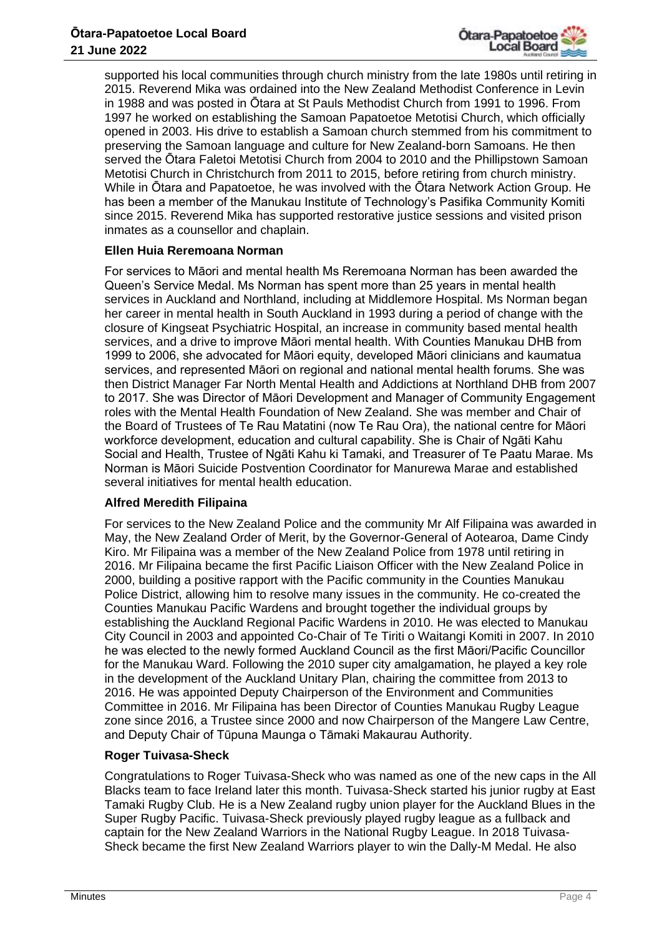

supported his local communities through church ministry from the late 1980s until retiring in 2015. Reverend Mika was ordained into the New Zealand Methodist Conference in Levin in 1988 and was posted in Ōtara at St Pauls Methodist Church from 1991 to 1996. From 1997 he worked on establishing the Samoan Papatoetoe Metotisi Church, which officially opened in 2003. His drive to establish a Samoan church stemmed from his commitment to preserving the Samoan language and culture for New Zealand-born Samoans. He then served the Ōtara Faletoi Metotisi Church from 2004 to 2010 and the Phillipstown Samoan Metotisi Church in Christchurch from 2011 to 2015, before retiring from church ministry. While in Ōtara and Papatoetoe, he was involved with the Ōtara Network Action Group. He has been a member of the Manukau Institute of Technology's Pasifika Community Komiti since 2015. Reverend Mika has supported restorative justice sessions and visited prison inmates as a counsellor and chaplain.

## **Ellen Huia Reremoana Norman**

For services to Māori and mental health Ms Reremoana Norman has been awarded the Queen's Service Medal. Ms Norman has spent more than 25 years in mental health services in Auckland and Northland, including at Middlemore Hospital. Ms Norman began her career in mental health in South Auckland in 1993 during a period of change with the closure of Kingseat Psychiatric Hospital, an increase in community based mental health services, and a drive to improve Māori mental health. With Counties Manukau DHB from 1999 to 2006, she advocated for Māori equity, developed Māori clinicians and kaumatua services, and represented Māori on regional and national mental health forums. She was then District Manager Far North Mental Health and Addictions at Northland DHB from 2007 to 2017. She was Director of Māori Development and Manager of Community Engagement roles with the Mental Health Foundation of New Zealand. She was member and Chair of the Board of Trustees of Te Rau Matatini (now Te Rau Ora), the national centre for Māori workforce development, education and cultural capability. She is Chair of Ngāti Kahu Social and Health, Trustee of Ngāti Kahu ki Tamaki, and Treasurer of Te Paatu Marae. Ms Norman is Māori Suicide Postvention Coordinator for Manurewa Marae and established several initiatives for mental health education.

## **Alfred Meredith Filipaina**

For services to the New Zealand Police and the community Mr Alf Filipaina was awarded in May, the New Zealand Order of Merit, by the Governor-General of Aotearoa, Dame Cindy Kiro. Mr Filipaina was a member of the New Zealand Police from 1978 until retiring in 2016. Mr Filipaina became the first Pacific Liaison Officer with the New Zealand Police in 2000, building a positive rapport with the Pacific community in the Counties Manukau Police District, allowing him to resolve many issues in the community. He co-created the Counties Manukau Pacific Wardens and brought together the individual groups by establishing the Auckland Regional Pacific Wardens in 2010. He was elected to Manukau City Council in 2003 and appointed Co-Chair of Te Tiriti o Waitangi Komiti in 2007. In 2010 he was elected to the newly formed Auckland Council as the first Māori/Pacific Councillor for the Manukau Ward. Following the 2010 super city amalgamation, he played a key role in the development of the Auckland Unitary Plan, chairing the committee from 2013 to 2016. He was appointed Deputy Chairperson of the Environment and Communities Committee in 2016. Mr Filipaina has been Director of Counties Manukau Rugby League zone since 2016, a Trustee since 2000 and now Chairperson of the Mangere Law Centre, and Deputy Chair of Tūpuna Maunga o Tāmaki Makaurau Authority.

## **Roger Tuivasa-Sheck**

Congratulations to Roger Tuivasa-Sheck who was named as one of the new caps in the All Blacks team to face Ireland later this month. Tuivasa-Sheck started his junior rugby at East Tamaki Rugby Club. He is a New Zealand rugby union player for the Auckland Blues in the Super Rugby Pacific. Tuivasa-Sheck previously played rugby league as a fullback and captain for the New Zealand Warriors in the National Rugby League. In 2018 Tuivasa-Sheck became the first New Zealand Warriors player to win the Dally-M Medal. He also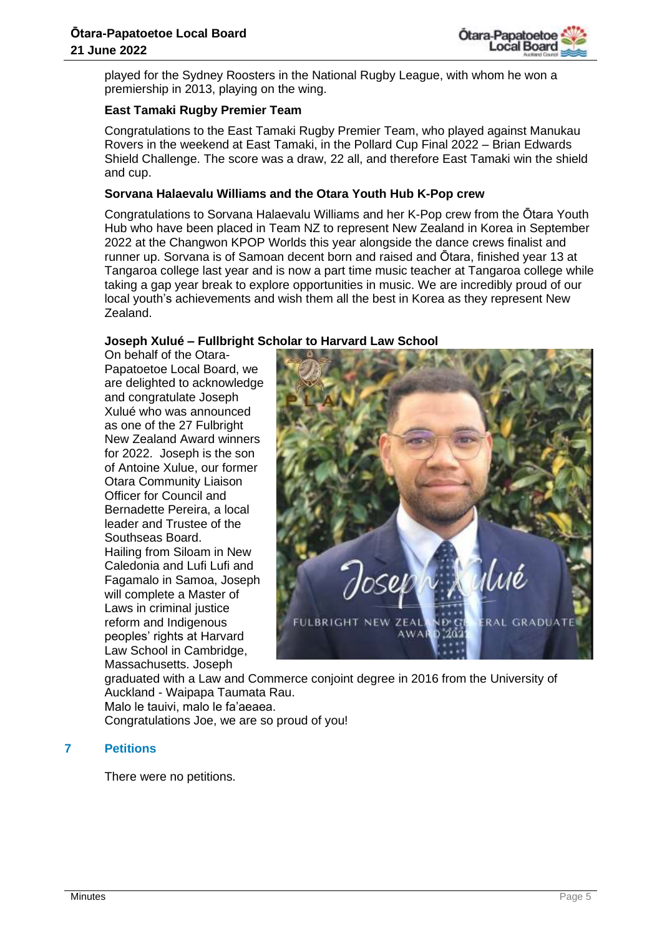

played for the Sydney Roosters in the National Rugby League, with whom he won a premiership in 2013, playing on the wing.

## **East Tamaki Rugby Premier Team**

Congratulations to the East Tamaki Rugby Premier Team, who played against Manukau Rovers in the weekend at East Tamaki, in the Pollard Cup Final 2022 – Brian Edwards Shield Challenge. The score was a draw, 22 all, and therefore East Tamaki win the shield and cup.

## **Sorvana Halaevalu Williams and the Otara Youth Hub K-Pop crew**

Congratulations to Sorvana Halaevalu Williams and her K-Pop crew from the Ōtara Youth Hub who have been placed in Team NZ to represent New Zealand in Korea in September 2022 at the Changwon KPOP Worlds this year alongside the dance crews finalist and runner up. Sorvana is of Samoan decent born and raised and Ōtara, finished year 13 at Tangaroa college last year and is now a part time music teacher at Tangaroa college while taking a gap year break to explore opportunities in music. We are incredibly proud of our local youth's achievements and wish them all the best in Korea as they represent New Zealand.

## **Joseph Xulué – Fullbright Scholar to Harvard Law School**

On behalf of the Otara-Papatoetoe Local Board, we are delighted to acknowledge and congratulate Joseph Xulué who was announced as one of the 27 [Fulbright](https://www.facebook.com/fulbrightnz/?__cft__%5b0%5d=AZUPYKNAzffZvX9TcSibVRUnT-cSkzsLLmhOSYFwuWdFEwOfeIi9Pf0iA6O_psqpI3KM8KS5CUJo1GD8PJFWk8H8caLPzb7OUpwFl1UBwbg-fhdE8OynZtLyFor4xYVyMHWs_QZPEw3dTRHUTtdIqdD-ghCX7oz9xpWVn2H9JUguRU9Q18pBHnTeWnzQ32BE022KwsqiJ_pJ5mIhIaNauEyU&__tn__=kK*F)  [New Zealand](https://www.facebook.com/fulbrightnz/?__cft__%5b0%5d=AZUPYKNAzffZvX9TcSibVRUnT-cSkzsLLmhOSYFwuWdFEwOfeIi9Pf0iA6O_psqpI3KM8KS5CUJo1GD8PJFWk8H8caLPzb7OUpwFl1UBwbg-fhdE8OynZtLyFor4xYVyMHWs_QZPEw3dTRHUTtdIqdD-ghCX7oz9xpWVn2H9JUguRU9Q18pBHnTeWnzQ32BE022KwsqiJ_pJ5mIhIaNauEyU&__tn__=kK*F) Award winners for 2022. Joseph is the son of Antoine Xulue, our former Otara Community Liaison Officer for Council and Bernadette Pereira, a local leader and Trustee of the Southseas Board. Hailing from Siloam in New Caledonia and Lufi Lufi and Fagamalo in Samoa, Joseph will complete a Master of Laws in criminal justice reform and Indigenous peoples' rights at [Harvard](https://www.facebook.com/harvardlaw/?__cft__%5b0%5d=AZUPYKNAzffZvX9TcSibVRUnT-cSkzsLLmhOSYFwuWdFEwOfeIi9Pf0iA6O_psqpI3KM8KS5CUJo1GD8PJFWk8H8caLPzb7OUpwFl1UBwbg-fhdE8OynZtLyFor4xYVyMHWs_QZPEw3dTRHUTtdIqdD-ghCX7oz9xpWVn2H9JUguRU9Q18pBHnTeWnzQ32BE022KwsqiJ_pJ5mIhIaNauEyU&__tn__=kK*F)  [Law School](https://www.facebook.com/harvardlaw/?__cft__%5b0%5d=AZUPYKNAzffZvX9TcSibVRUnT-cSkzsLLmhOSYFwuWdFEwOfeIi9Pf0iA6O_psqpI3KM8KS5CUJo1GD8PJFWk8H8caLPzb7OUpwFl1UBwbg-fhdE8OynZtLyFor4xYVyMHWs_QZPEw3dTRHUTtdIqdD-ghCX7oz9xpWVn2H9JUguRU9Q18pBHnTeWnzQ32BE022KwsqiJ_pJ5mIhIaNauEyU&__tn__=kK*F) in Cambridge, Massachusetts. Joseph



graduated with a Law and Commerce conjoint degree in 2016 from the [University of](https://www.facebook.com/UniofAkl/?__cft__%5b0%5d=AZUPYKNAzffZvX9TcSibVRUnT-cSkzsLLmhOSYFwuWdFEwOfeIi9Pf0iA6O_psqpI3KM8KS5CUJo1GD8PJFWk8H8caLPzb7OUpwFl1UBwbg-fhdE8OynZtLyFor4xYVyMHWs_QZPEw3dTRHUTtdIqdD-ghCX7oz9xpWVn2H9JUguRU9Q18pBHnTeWnzQ32BE022KwsqiJ_pJ5mIhIaNauEyU&__tn__=kK*F)  Auckland - [Waipapa Taumata Rau.](https://www.facebook.com/UniofAkl/?__cft__%5b0%5d=AZUPYKNAzffZvX9TcSibVRUnT-cSkzsLLmhOSYFwuWdFEwOfeIi9Pf0iA6O_psqpI3KM8KS5CUJo1GD8PJFWk8H8caLPzb7OUpwFl1UBwbg-fhdE8OynZtLyFor4xYVyMHWs_QZPEw3dTRHUTtdIqdD-ghCX7oz9xpWVn2H9JUguRU9Q18pBHnTeWnzQ32BE022KwsqiJ_pJ5mIhIaNauEyU&__tn__=kK*F)

Malo le tauivi, malo le fa'aeaea.

Congratulations Joe, we are so proud of you!

## **7 Petitions**

There were no petitions.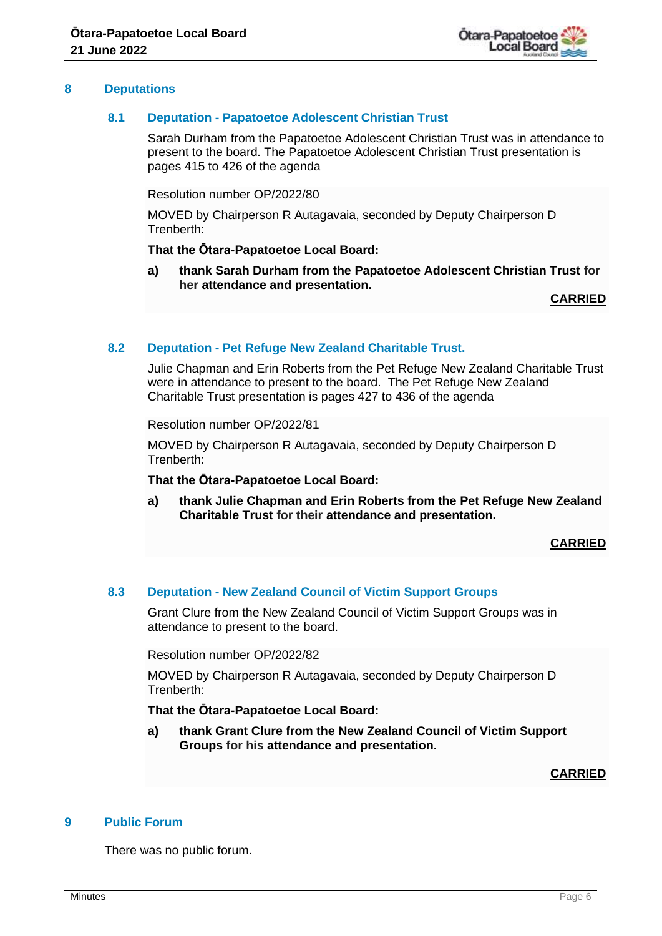

#### **8 Deputations**

#### **8.1 Deputation - Papatoetoe Adolescent Christian Trust**

Sarah Durham from the Papatoetoe Adolescent Christian Trust was in attendance to present to the board. The Papatoetoe Adolescent Christian Trust presentation is pages 415 to 426 of the agenda

Resolution number OP/2022/80

MOVED by Chairperson R Autagavaia, seconded by Deputy Chairperson D Trenberth:

#### **That the Ōtara-Papatoetoe Local Board:**

**a) thank Sarah Durham from the Papatoetoe Adolescent Christian Trust for her attendance and presentation.**

**CARRIED**

#### **8.2 Deputation - Pet Refuge New Zealand Charitable Trust.**

Julie Chapman and Erin Roberts from the Pet Refuge New Zealand Charitable Trust were in attendance to present to the board. The Pet Refuge New Zealand Charitable Trust presentation is pages 427 to 436 of the agenda

Resolution number OP/2022/81

MOVED by Chairperson R Autagavaia, seconded by Deputy Chairperson D Trenberth:

#### **That the Ōtara-Papatoetoe Local Board:**

**a) thank Julie Chapman and Erin Roberts from the Pet Refuge New Zealand Charitable Trust for their attendance and presentation.**

#### **CARRIED**

#### **8.3 Deputation - New Zealand Council of Victim Support Groups**

Grant Clure from the New Zealand Council of Victim Support Groups was in attendance to present to the board.

Resolution number OP/2022/82

MOVED by Chairperson R Autagavaia, seconded by Deputy Chairperson D Trenberth:

## **That the Ōtara-Papatoetoe Local Board:**

**a) thank Grant Clure from the New Zealand Council of Victim Support Groups for his attendance and presentation.**

#### **CARRIED**

## **9 Public Forum**

There was no public forum.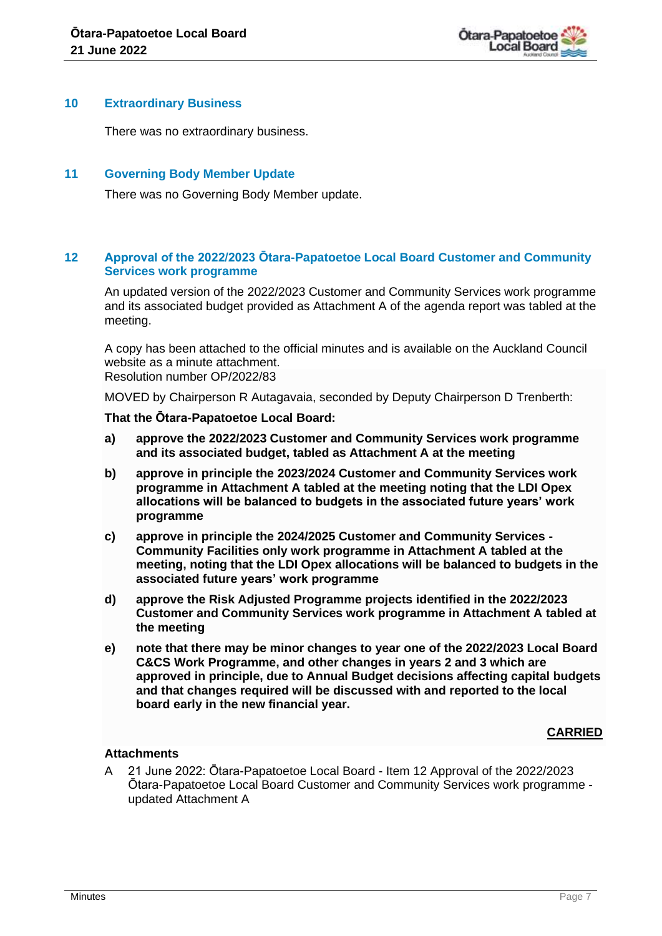

#### **10 Extraordinary Business**

There was no extraordinary business.

## **11 Governing Body Member Update**

There was no Governing Body Member update.

## **12 Approval of the 2022/2023 Ōtara-Papatoetoe Local Board Customer and Community Services work programme**

An updated version of the 2022/2023 Customer and Community Services work programme and its associated budget provided as Attachment A of the agenda report was tabled at the meeting.

A copy has been attached to the official minutes and is available on the Auckland Council website as a minute attachment. Resolution number OP/2022/83

MOVED by Chairperson R Autagavaia, seconded by Deputy Chairperson D Trenberth:

#### **That the Ōtara-Papatoetoe Local Board:**

- **a) approve the 2022/2023 Customer and Community Services work programme and its associated budget, tabled as Attachment A at the meeting**
- **b) approve in principle the 2023/2024 Customer and Community Services work programme in Attachment A tabled at the meeting noting that the LDI Opex allocations will be balanced to budgets in the associated future years' work programme**
- **c) approve in principle the 2024/2025 Customer and Community Services - Community Facilities only work programme in Attachment A tabled at the meeting, noting that the LDI Opex allocations will be balanced to budgets in the associated future years' work programme**
- **d) approve the Risk Adjusted Programme projects identified in the 2022/2023 Customer and Community Services work programme in Attachment A tabled at the meeting**
- **e) note that there may be minor changes to year one of the 2022/2023 Local Board C&CS Work Programme, and other changes in years 2 and 3 which are approved in principle, due to Annual Budget decisions affecting capital budgets and that changes required will be discussed with and reported to the local board early in the new financial year.**

## **CARRIED**

## **Attachments**

A 21 June 2022: Ōtara-Papatoetoe Local Board - Item 12 Approval of the 2022/2023 Ōtara-Papatoetoe Local Board Customer and Community Services work programme updated Attachment A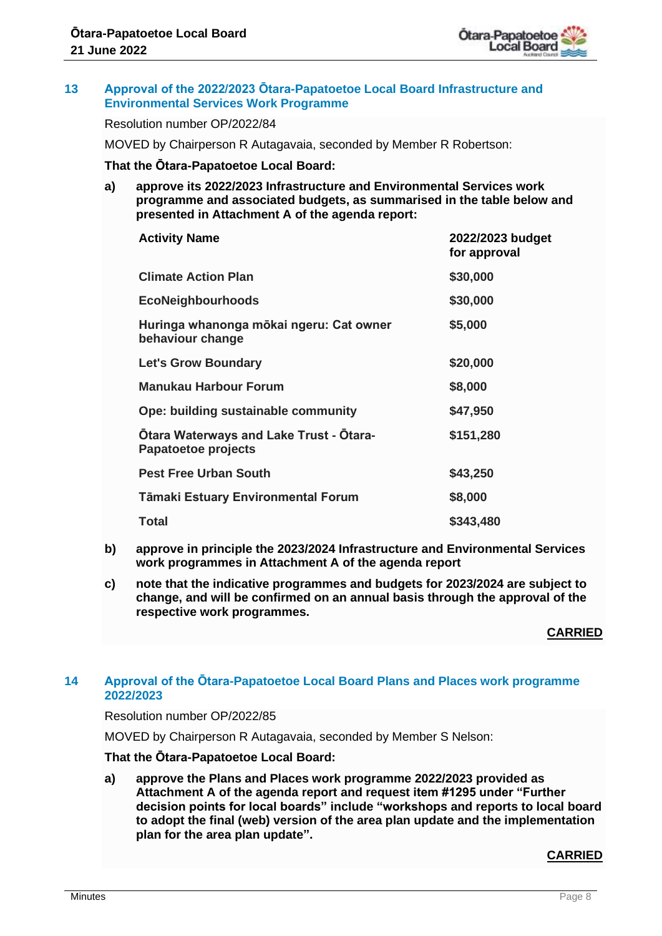

#### **13 Approval of the 2022/2023 Ōtara-Papatoetoe Local Board Infrastructure and Environmental Services Work Programme**

Resolution number OP/2022/84

MOVED by Chairperson R Autagavaia, seconded by Member R Robertson:

#### **That the Ōtara-Papatoetoe Local Board:**

**a) approve its 2022/2023 Infrastructure and Environmental Services work programme and associated budgets, as summarised in the table below and presented in Attachment A of the agenda report:**

| <b>Activity Name</b>                                                  | 2022/2023 budget<br>for approval |
|-----------------------------------------------------------------------|----------------------------------|
| <b>Climate Action Plan</b>                                            | \$30,000                         |
| <b>EcoNeighbourhoods</b>                                              | \$30,000                         |
| Huringa whanonga mōkai ngeru: Cat owner<br>behaviour change           | \$5,000                          |
| <b>Let's Grow Boundary</b>                                            | \$20,000                         |
| <b>Manukau Harbour Forum</b>                                          | \$8,000                          |
| Ope: building sustainable community                                   | \$47,950                         |
| <b>Otara Waterways and Lake Trust - Otara-</b><br>Papatoetoe projects | \$151,280                        |
| <b>Pest Free Urban South</b>                                          | \$43,250                         |
| Tāmaki Estuary Environmental Forum                                    | \$8,000                          |
| <b>Total</b>                                                          | \$343,480                        |

- **b) approve in principle the 2023/2024 Infrastructure and Environmental Services work programmes in Attachment A of the agenda report**
- **c) note that the indicative programmes and budgets for 2023/2024 are subject to change, and will be confirmed on an annual basis through the approval of the respective work programmes.**

**CARRIED**

#### **14 Approval of the Ōtara-Papatoetoe Local Board Plans and Places work programme 2022/2023**

#### Resolution number OP/2022/85

MOVED by Chairperson R Autagavaia, seconded by Member S Nelson:

#### **That the Ōtara-Papatoetoe Local Board:**

**a) approve the Plans and Places work programme 2022/2023 provided as Attachment A of the agenda report and request item #1295 under "Further decision points for local boards" include "workshops and reports to local board to adopt the final (web) version of the area plan update and the implementation plan for the area plan update".**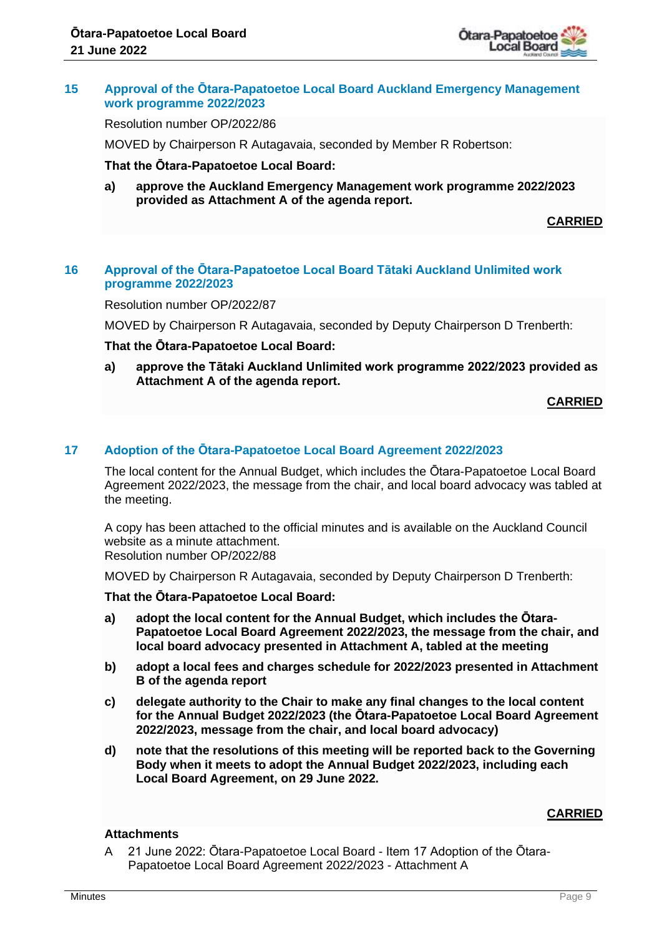

#### **15 Approval of the Ōtara-Papatoetoe Local Board Auckland Emergency Management work programme 2022/2023**

Resolution number OP/2022/86

MOVED by Chairperson R Autagavaia, seconded by Member R Robertson:

#### **That the Ōtara-Papatoetoe Local Board:**

**a) approve the Auckland Emergency Management work programme 2022/2023 provided as Attachment A of the agenda report.**

**CARRIED**

## **16 Approval of the Ōtara-Papatoetoe Local Board Tātaki Auckland Unlimited work programme 2022/2023**

Resolution number OP/2022/87

MOVED by Chairperson R Autagavaia, seconded by Deputy Chairperson D Trenberth:

#### **That the Ōtara-Papatoetoe Local Board:**

**a) approve the Tātaki Auckland Unlimited work programme 2022/2023 provided as Attachment A of the agenda report.**

**CARRIED**

#### **17 Adoption of the Ōtara-Papatoetoe Local Board Agreement 2022/2023**

The local content for the Annual Budget, which includes the Ōtara-Papatoetoe Local Board Agreement 2022/2023, the message from the chair, and local board advocacy was tabled at the meeting.

A copy has been attached to the official minutes and is available on the Auckland Council website as a minute attachment.

Resolution number OP/2022/88

MOVED by Chairperson R Autagavaia, seconded by Deputy Chairperson D Trenberth:

#### **That the Ōtara-Papatoetoe Local Board:**

- **a) adopt the local content for the Annual Budget, which includes the Ōtara-Papatoetoe Local Board Agreement 2022/2023, the message from the chair, and local board advocacy presented in Attachment A, tabled at the meeting**
- **b) adopt a local fees and charges schedule for 2022/2023 presented in Attachment B of the agenda report**
- **c) delegate authority to the Chair to make any final changes to the local content for the Annual Budget 2022/2023 (the Ōtara-Papatoetoe Local Board Agreement 2022/2023, message from the chair, and local board advocacy)**
- **d) note that the resolutions of this meeting will be reported back to the Governing Body when it meets to adopt the Annual Budget 2022/2023, including each Local Board Agreement, on 29 June 2022.**

## **CARRIED**

#### **Attachments**

A 21 June 2022: Ōtara-Papatoetoe Local Board - Item 17 Adoption of the Ōtara-Papatoetoe Local Board Agreement 2022/2023 - Attachment A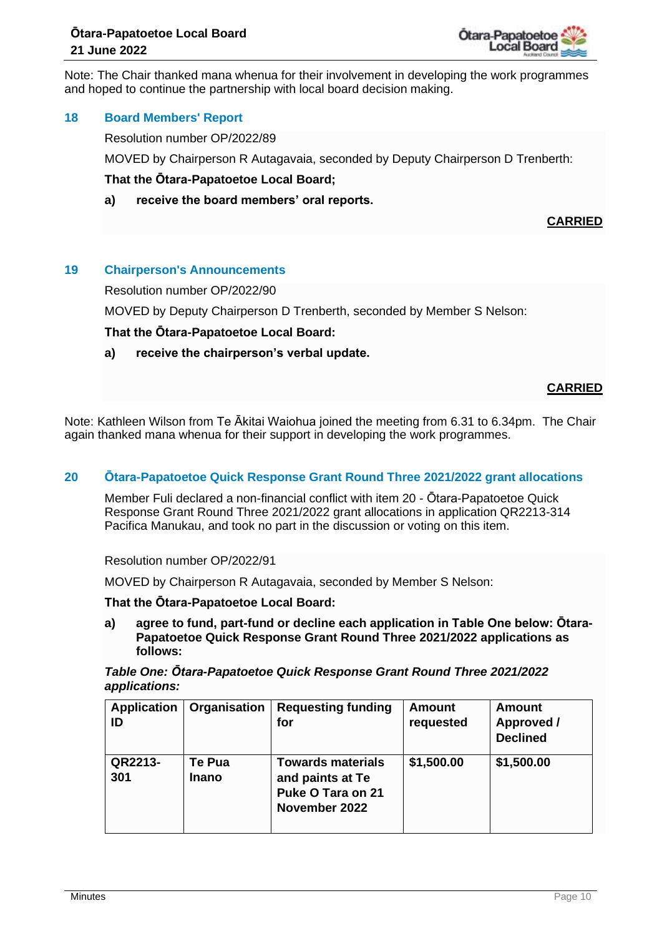

Note: The Chair thanked mana whenua for their involvement in developing the work programmes and hoped to continue the partnership with local board decision making.

## **18 Board Members' Report**

Resolution number OP/2022/89

MOVED by Chairperson R Autagavaia, seconded by Deputy Chairperson D Trenberth:

#### **That the Ōtara-Papatoetoe Local Board;**

**a) receive the board members' oral reports.**

**CARRIED**

#### **19 Chairperson's Announcements**

Resolution number OP/2022/90

MOVED by Deputy Chairperson D Trenberth, seconded by Member S Nelson:

#### **That the Ōtara-Papatoetoe Local Board:**

**a) receive the chairperson's verbal update.**

#### **CARRIED**

Note: Kathleen Wilson from Te Ākitai Waiohua joined the meeting from 6.31 to 6.34pm. The Chair again thanked mana whenua for their support in developing the work programmes.

#### **20 Ōtara-Papatoetoe Quick Response Grant Round Three 2021/2022 grant allocations**

Member Fuli declared a non-financial conflict with item 20 - Ōtara-Papatoetoe Quick Response Grant Round Three 2021/2022 grant allocations in application QR2213-314 Pacifica Manukau, and took no part in the discussion or voting on this item.

#### Resolution number OP/2022/91

MOVED by Chairperson R Autagavaia, seconded by Member S Nelson:

#### **That the Ōtara-Papatoetoe Local Board:**

**a) agree to fund, part-fund or decline each application in Table One below: Ōtara-Papatoetoe Quick Response Grant Round Three 2021/2022 applications as follows:**

#### *Table One: Ōtara-Papatoetoe Quick Response Grant Round Three 2021/2022 applications:*

| <b>Application</b><br>ID | Organisation           | <b>Requesting funding</b><br>for                                                   | <b>Amount</b><br>requested | Amount<br>Approved /<br><b>Declined</b> |
|--------------------------|------------------------|------------------------------------------------------------------------------------|----------------------------|-----------------------------------------|
| QR2213-<br>301           | Te Pua<br><b>Inano</b> | <b>Towards materials</b><br>and paints at Te<br>Puke O Tara on 21<br>November 2022 | \$1,500.00                 | \$1,500.00                              |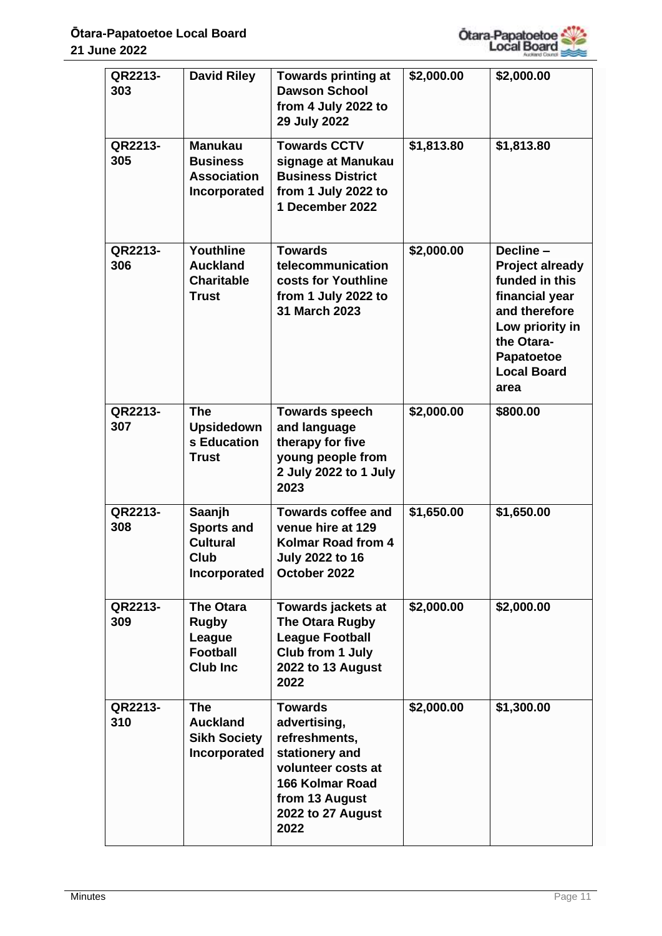

| QR2213-<br>303 | <b>David Riley</b>                                                               | <b>Towards printing at</b><br><b>Dawson School</b><br>from 4 July 2022 to<br>29 July 2022                                                                 | \$2,000.00 | \$2,000.00                                                                                                                                                           |
|----------------|----------------------------------------------------------------------------------|-----------------------------------------------------------------------------------------------------------------------------------------------------------|------------|----------------------------------------------------------------------------------------------------------------------------------------------------------------------|
| QR2213-<br>305 | <b>Manukau</b><br><b>Business</b><br><b>Association</b><br>Incorporated          | <b>Towards CCTV</b><br>signage at Manukau<br><b>Business District</b><br>from 1 July 2022 to<br>1 December 2022                                           | \$1,813.80 | \$1,813.80                                                                                                                                                           |
| QR2213-<br>306 | Youthline<br><b>Auckland</b><br><b>Charitable</b><br><b>Trust</b>                | <b>Towards</b><br>telecommunication<br>costs for Youthline<br>from 1 July 2022 to<br>31 March 2023                                                        | \$2,000.00 | Decline-<br><b>Project already</b><br>funded in this<br>financial year<br>and therefore<br>Low priority in<br>the Otara-<br>Papatoetoe<br><b>Local Board</b><br>area |
| QR2213-<br>307 | <b>The</b><br><b>Upsidedown</b><br>s Education<br><b>Trust</b>                   | <b>Towards speech</b><br>and language<br>therapy for five<br>young people from<br>2 July 2022 to 1 July<br>2023                                           | \$2,000.00 | \$800.00                                                                                                                                                             |
| QR2213-<br>308 | Saanjh<br><b>Sports and</b><br><b>Cultural</b><br>Club<br>Incorporated           | <b>Towards coffee and</b><br>venue hire at 129<br>Kolmar Road from 4<br>July 2022 to 16<br>October 2022                                                   | \$1,650.00 | \$1,650.00                                                                                                                                                           |
| QR2213-<br>309 | <b>The Otara</b><br><b>Rugby</b><br>League<br><b>Football</b><br><b>Club Inc</b> | Towards jackets at<br>The Otara Rugby<br><b>League Football</b><br>Club from 1 July<br>2022 to 13 August<br>2022                                          | \$2,000.00 | \$2,000.00                                                                                                                                                           |
| QR2213-<br>310 | <b>The</b><br><b>Auckland</b><br><b>Sikh Society</b><br>Incorporated             | <b>Towards</b><br>advertising,<br>refreshments,<br>stationery and<br>volunteer costs at<br>166 Kolmar Road<br>from 13 August<br>2022 to 27 August<br>2022 | \$2,000.00 | \$1,300.00                                                                                                                                                           |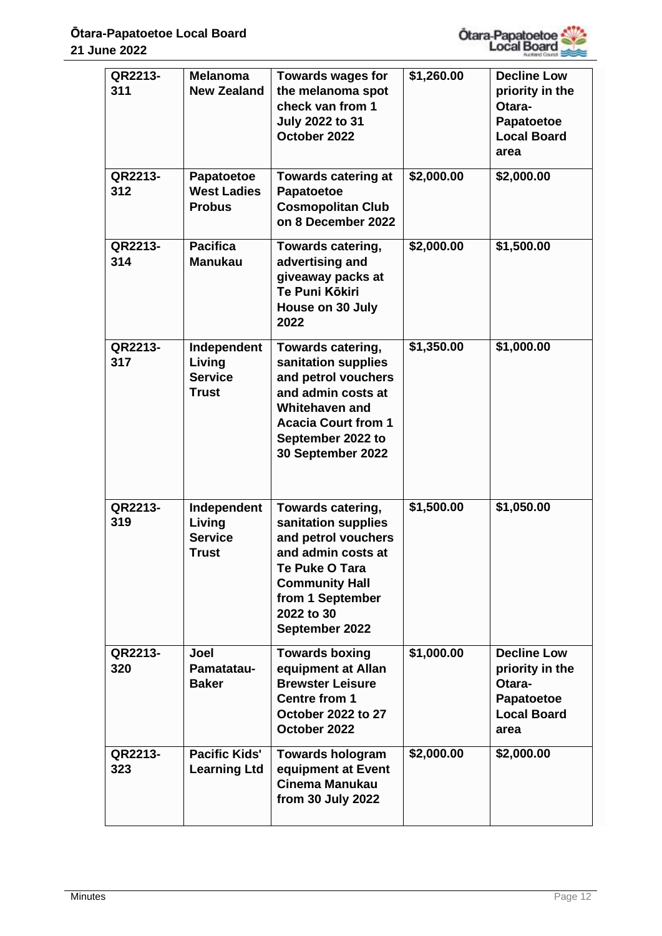

| QR2213-<br>311<br>QR2213-<br>312 | <b>Melanoma</b><br><b>New Zealand</b><br>Papatoetoe<br><b>West Ladies</b> | <b>Towards wages for</b><br>the melanoma spot<br>check van from 1<br><b>July 2022 to 31</b><br>October 2022<br><b>Towards catering at</b><br>Papatoetoe                                | \$1,260.00<br>\$2,000.00 | <b>Decline Low</b><br>priority in the<br>Otara-<br><b>Papatoetoe</b><br><b>Local Board</b><br>area<br>\$2,000.00 |
|----------------------------------|---------------------------------------------------------------------------|----------------------------------------------------------------------------------------------------------------------------------------------------------------------------------------|--------------------------|------------------------------------------------------------------------------------------------------------------|
|                                  | <b>Probus</b>                                                             | <b>Cosmopolitan Club</b><br>on 8 December 2022                                                                                                                                         |                          |                                                                                                                  |
| QR2213-<br>314                   | <b>Pacifica</b><br><b>Manukau</b>                                         | <b>Towards catering,</b><br>advertising and<br>giveaway packs at<br>Te Puni Kōkiri<br>House on 30 July<br>2022                                                                         | \$2,000.00               | \$1,500.00                                                                                                       |
| QR2213-<br>317                   | Independent<br>Living<br><b>Service</b><br>Trust                          | <b>Towards catering,</b><br>sanitation supplies<br>and petrol vouchers<br>and admin costs at<br>Whitehaven and<br><b>Acacia Court from 1</b><br>September 2022 to<br>30 September 2022 | \$1,350.00               | \$1,000.00                                                                                                       |
| QR2213-<br>319                   | Independent<br>Living<br><b>Service</b><br><b>Trust</b>                   | Towards catering,<br>sanitation supplies<br>and petrol vouchers<br>and admin costs at<br>Te Puke O Tara<br><b>Community Hall</b><br>from 1 September<br>2022 to 30<br>September 2022   | \$1,500.00               | \$1,050.00                                                                                                       |
| QR2213-<br>320                   | Joel<br>Pamatatau-<br><b>Baker</b>                                        | <b>Towards boxing</b><br>equipment at Allan<br><b>Brewster Leisure</b><br><b>Centre from 1</b><br>October 2022 to 27<br>October 2022                                                   | \$1,000.00               | <b>Decline Low</b><br>priority in the<br>Otara-<br>Papatoetoe<br><b>Local Board</b><br>area                      |
| QR2213-<br>323                   | Pacific Kids'<br><b>Learning Ltd</b>                                      | <b>Towards hologram</b><br>equipment at Event<br>Cinema Manukau<br>from 30 July 2022                                                                                                   | \$2,000.00               | \$2,000.00                                                                                                       |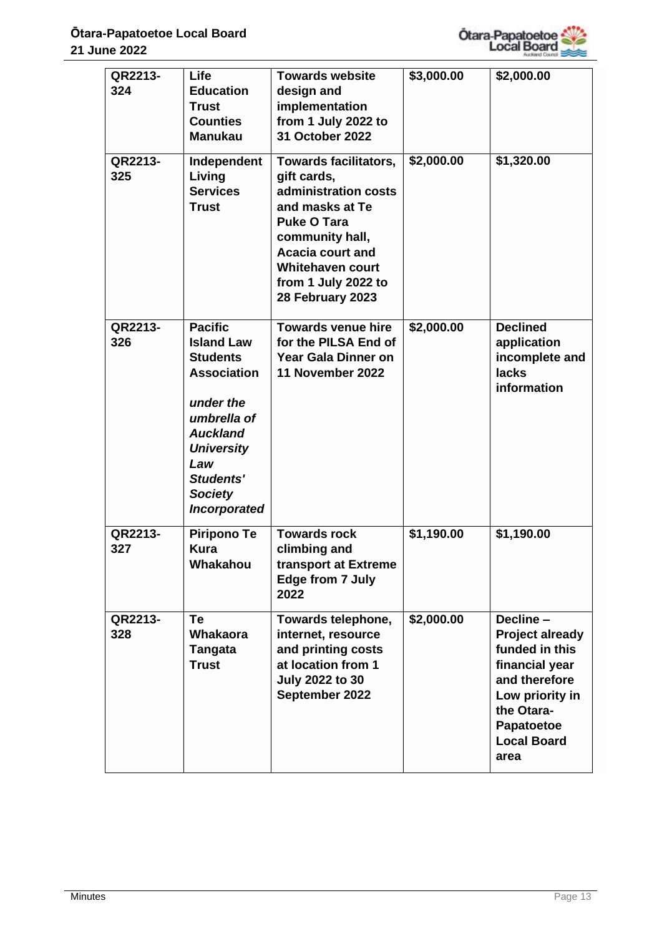

| QR2213-<br>324 | <b>Life</b><br><b>Education</b><br><b>Trust</b><br><b>Counties</b><br><b>Manukau</b>                                                                                                                   | <b>Towards website</b><br>design and<br>implementation<br>from 1 July 2022 to<br>31 October 2022                                                                                                                          | \$3,000.00 | \$2,000.00                                                                                                                                                            |
|----------------|--------------------------------------------------------------------------------------------------------------------------------------------------------------------------------------------------------|---------------------------------------------------------------------------------------------------------------------------------------------------------------------------------------------------------------------------|------------|-----------------------------------------------------------------------------------------------------------------------------------------------------------------------|
| QR2213-<br>325 | Independent<br>Living<br><b>Services</b><br><b>Trust</b>                                                                                                                                               | Towards facilitators,<br>gift cards,<br>administration costs<br>and masks at Te<br><b>Puke O Tara</b><br>community hall,<br><b>Acacia court and</b><br><b>Whitehaven court</b><br>from 1 July 2022 to<br>28 February 2023 | \$2,000.00 | \$1,320.00                                                                                                                                                            |
| QR2213-<br>326 | <b>Pacific</b><br><b>Island Law</b><br><b>Students</b><br><b>Association</b><br>under the<br>umbrella of<br><b>Auckland</b><br><b>University</b><br>Law<br>Students'<br><b>Society</b><br>Incorporated | <b>Towards venue hire</b><br>for the PILSA End of<br>Year Gala Dinner on<br>11 November 2022                                                                                                                              | \$2,000.00 | <b>Declined</b><br>application<br>incomplete and<br><b>lacks</b><br>information                                                                                       |
| QR2213-<br>327 | <b>Piripono Te</b><br>Kura<br>Whakahou                                                                                                                                                                 | <b>Towards rock</b><br>climbing and<br>transport at Extreme<br>Edge from 7 July<br>2022                                                                                                                                   | \$1,190.00 | \$1,190.00                                                                                                                                                            |
| QR2213-<br>328 | Te<br><b>Whakaora</b><br><b>Tangata</b><br><b>Trust</b>                                                                                                                                                | Towards telephone,<br>internet, resource<br>and printing costs<br>at location from 1<br><b>July 2022 to 30</b><br>September 2022                                                                                          | \$2,000.00 | Decline -<br><b>Project already</b><br>funded in this<br>financial year<br>and therefore<br>Low priority in<br>the Otara-<br>Papatoetoe<br><b>Local Board</b><br>area |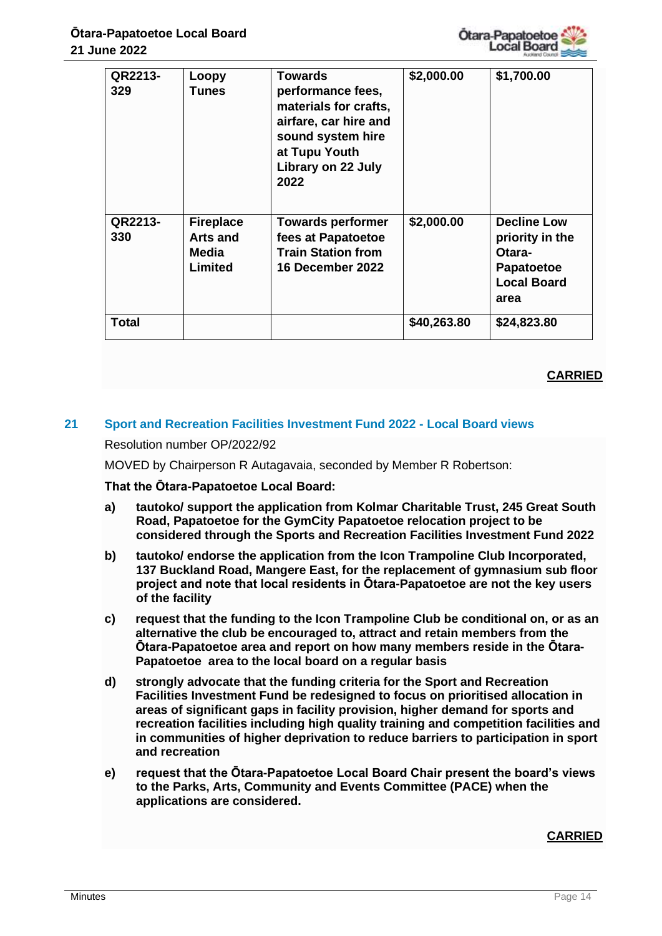

| QR2213-<br>329 | Loopy<br>Tunes                                   | Towards<br>performance fees,<br>materials for crafts,<br>airfare, car hire and<br>sound system hire<br>at Tupu Youth<br>Library on 22 July<br>2022 | \$2,000.00  | \$1,700.00                                                                                  |
|----------------|--------------------------------------------------|----------------------------------------------------------------------------------------------------------------------------------------------------|-------------|---------------------------------------------------------------------------------------------|
| QR2213-<br>330 | <b>Fireplace</b><br>Arts and<br>Media<br>Limited | <b>Towards performer</b><br>fees at Papatoetoe<br><b>Train Station from</b><br><b>16 December 2022</b>                                             | \$2,000.00  | <b>Decline Low</b><br>priority in the<br>Otara-<br>Papatoetoe<br><b>Local Board</b><br>area |
| <b>Total</b>   |                                                  |                                                                                                                                                    | \$40,263.80 | \$24,823.80                                                                                 |

## **CARRIED**

## **21 Sport and Recreation Facilities Investment Fund 2022 - Local Board views**

Resolution number OP/2022/92

MOVED by Chairperson R Autagavaia, seconded by Member R Robertson:

**That the Ōtara-Papatoetoe Local Board:**

- **a) tautoko/ support the application from Kolmar Charitable Trust, 245 Great South Road, Papatoetoe for the GymCity Papatoetoe relocation project to be considered through the Sports and Recreation Facilities Investment Fund 2022**
- **b) tautoko/ endorse the application from the Icon Trampoline Club Incorporated, 137 Buckland Road, Mangere East, for the replacement of gymnasium sub floor project and note that local residents in Ōtara-Papatoetoe are not the key users of the facility**
- **c) request that the funding to the Icon Trampoline Club be conditional on, or as an alternative the club be encouraged to, attract and retain members from the Ōtara-Papatoetoe area and report on how many members reside in the Ōtara-Papatoetoe area to the local board on a regular basis**
- **d) strongly advocate that the funding criteria for the Sport and Recreation Facilities Investment Fund be redesigned to focus on prioritised allocation in areas of significant gaps in facility provision, higher demand for sports and recreation facilities including high quality training and competition facilities and in communities of higher deprivation to reduce barriers to participation in sport and recreation**
- **e) request that the Ōtara-Papatoetoe Local Board Chair present the board's views to the Parks, Arts, Community and Events Committee (PACE) when the applications are considered.**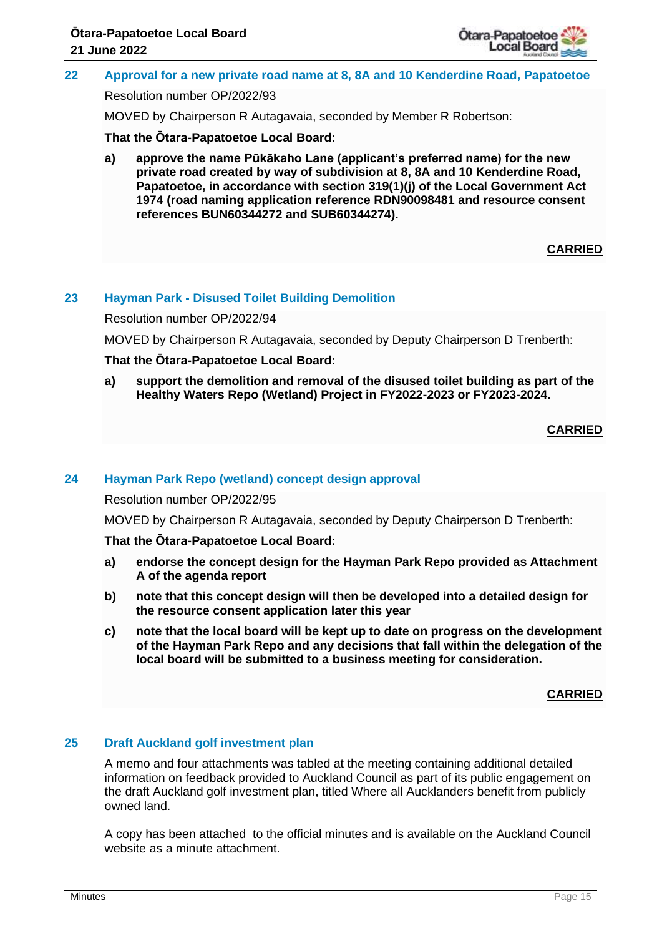

## **22 Approval for a new private road name at 8, 8A and 10 Kenderdine Road, Papatoetoe**

Resolution number OP/2022/93

MOVED by Chairperson R Autagavaia, seconded by Member R Robertson:

**That the Ōtara-Papatoetoe Local Board:**

**a) approve the name Pūkākaho Lane (applicant's preferred name) for the new private road created by way of subdivision at 8, 8A and 10 Kenderdine Road, Papatoetoe, in accordance with section 319(1)(j) of the Local Government Act 1974 (road naming application reference RDN90098481 and resource consent references BUN60344272 and SUB60344274).**

## **CARRIED**

## **23 Hayman Park - Disused Toilet Building Demolition**

Resolution number OP/2022/94

MOVED by Chairperson R Autagavaia, seconded by Deputy Chairperson D Trenberth:

## **That the Ōtara-Papatoetoe Local Board:**

**a) support the demolition and removal of the disused toilet building as part of the Healthy Waters Repo (Wetland) Project in FY2022-2023 or FY2023-2024.**

## **CARRIED**

## **24 Hayman Park Repo (wetland) concept design approval**

Resolution number OP/2022/95

MOVED by Chairperson R Autagavaia, seconded by Deputy Chairperson D Trenberth:

#### **That the Ōtara-Papatoetoe Local Board:**

- **a) endorse the concept design for the Hayman Park Repo provided as Attachment A of the agenda report**
- **b) note that this concept design will then be developed into a detailed design for the resource consent application later this year**
- **c) note that the local board will be kept up to date on progress on the development of the Hayman Park Repo and any decisions that fall within the delegation of the local board will be submitted to a business meeting for consideration.**

#### **CARRIED**

## **25 Draft Auckland golf investment plan**

A memo and four attachments was tabled at the meeting containing additional detailed information on feedback provided to Auckland Council as part of its public engagement on the draft Auckland golf investment plan, titled Where all Aucklanders benefit from publicly owned land.

A copy has been attached to the official minutes and is available on the Auckland Council website as a minute attachment.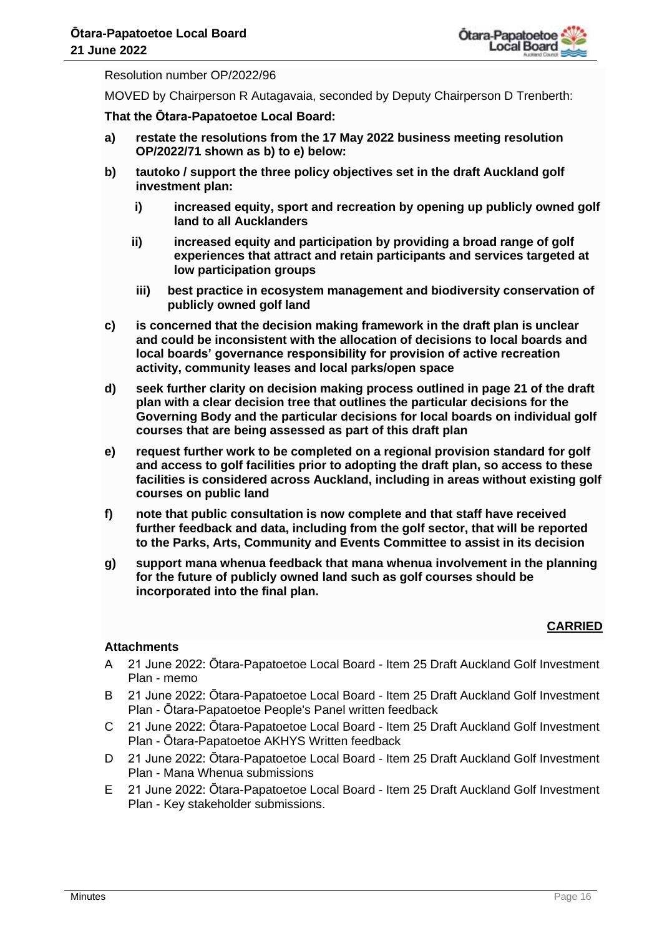

Resolution number OP/2022/96

MOVED by Chairperson R Autagavaia, seconded by Deputy Chairperson D Trenberth:

**That the Ōtara-Papatoetoe Local Board:**

- **a) restate the resolutions from the 17 May 2022 business meeting resolution OP/2022/71 shown as b) to e) below:**
- **b) tautoko / support the three policy objectives set in the draft Auckland golf investment plan:**
	- **i) increased equity, sport and recreation by opening up publicly owned golf land to all Aucklanders**
	- **ii) increased equity and participation by providing a broad range of golf experiences that attract and retain participants and services targeted at low participation groups**
	- **iii) best practice in ecosystem management and biodiversity conservation of publicly owned golf land**
- **c) is concerned that the decision making framework in the draft plan is unclear and could be inconsistent with the allocation of decisions to local boards and local boards' governance responsibility for provision of active recreation activity, community leases and local parks/open space**
- **d) seek further clarity on decision making process outlined in page 21 of the draft plan with a clear decision tree that outlines the particular decisions for the Governing Body and the particular decisions for local boards on individual golf courses that are being assessed as part of this draft plan**
- **e) request further work to be completed on a regional provision standard for golf and access to golf facilities prior to adopting the draft plan, so access to these facilities is considered across Auckland, including in areas without existing golf courses on public land**
- **f) note that public consultation is now complete and that staff have received further feedback and data, including from the golf sector, that will be reported to the Parks, Arts, Community and Events Committee to assist in its decision**
- **g) support mana whenua feedback that mana whenua involvement in the planning for the future of publicly owned land such as golf courses should be incorporated into the final plan.**

## **CARRIED**

#### **Attachments**

- A 21 June 2022: Ōtara-Papatoetoe Local Board Item 25 Draft Auckland Golf Investment Plan - memo
- B 21 June 2022: Ōtara-Papatoetoe Local Board Item 25 Draft Auckland Golf Investment Plan - Ōtara-Papatoetoe People's Panel written feedback
- C 21 June 2022: Ōtara-Papatoetoe Local Board Item 25 Draft Auckland Golf Investment Plan - Ōtara-Papatoetoe AKHYS Written feedback
- D 21 June 2022: Ōtara-Papatoetoe Local Board Item 25 Draft Auckland Golf Investment Plan - Mana Whenua submissions
- E 21 June 2022: Ōtara-Papatoetoe Local Board Item 25 Draft Auckland Golf Investment Plan - Key stakeholder submissions.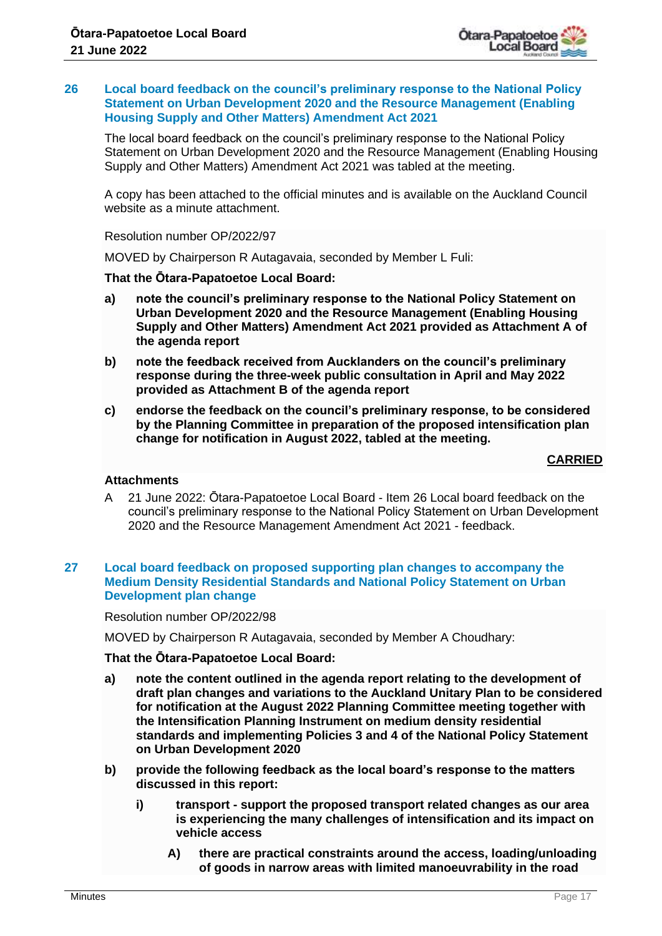

#### **26 Local board feedback on the council's preliminary response to the National Policy Statement on Urban Development 2020 and the Resource Management (Enabling Housing Supply and Other Matters) Amendment Act 2021**

The local board feedback on the council's preliminary response to the National Policy Statement on Urban Development 2020 and the Resource Management (Enabling Housing Supply and Other Matters) Amendment Act 2021 was tabled at the meeting.

A copy has been attached to the official minutes and is available on the Auckland Council website as a minute attachment.

Resolution number OP/2022/97

MOVED by Chairperson R Autagavaia, seconded by Member L Fuli:

#### **That the Ōtara-Papatoetoe Local Board:**

- **a) note the council's preliminary response to the National Policy Statement on Urban Development 2020 and the Resource Management (Enabling Housing Supply and Other Matters) Amendment Act 2021 provided as Attachment A of the agenda report**
- **b) note the feedback received from Aucklanders on the council's preliminary response during the three-week public consultation in April and May 2022 provided as Attachment B of the agenda report**
- **c) endorse the feedback on the council's preliminary response, to be considered by the Planning Committee in preparation of the proposed intensification plan change for notification in August 2022, tabled at the meeting.**

#### **CARRIED**

#### **Attachments**

A 21 June 2022: Ōtara-Papatoetoe Local Board - Item 26 Local board feedback on the council's preliminary response to the National Policy Statement on Urban Development 2020 and the Resource Management Amendment Act 2021 - feedback.

#### **27 Local board feedback on proposed supporting plan changes to accompany the Medium Density Residential Standards and National Policy Statement on Urban Development plan change**

Resolution number OP/2022/98

MOVED by Chairperson R Autagavaia, seconded by Member A Choudhary:

#### **That the Ōtara-Papatoetoe Local Board:**

- **a) note the content outlined in the agenda report relating to the development of draft plan changes and variations to the Auckland Unitary Plan to be considered for notification at the August 2022 Planning Committee meeting together with the Intensification Planning Instrument on medium density residential standards and implementing Policies 3 and 4 of the National Policy Statement on Urban Development 2020**
- **b) provide the following feedback as the local board's response to the matters discussed in this report:**
	- **i) transport - support the proposed transport related changes as our area is experiencing the many challenges of intensification and its impact on vehicle access**
		- **A) there are practical constraints around the access, loading/unloading of goods in narrow areas with limited manoeuvrability in the road**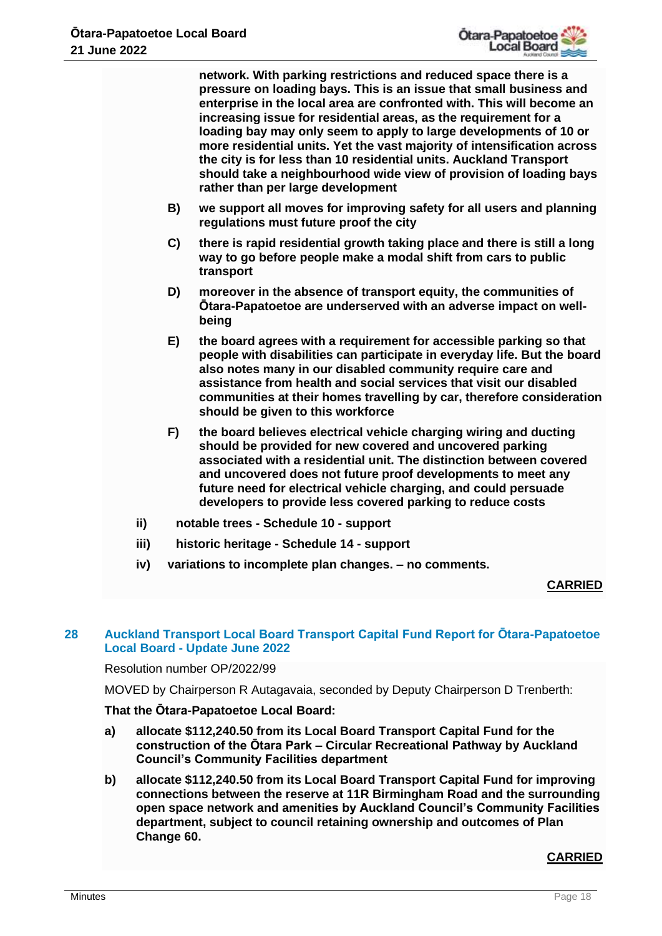**network. With parking restrictions and reduced space there is a pressure on loading bays. This is an issue that small business and enterprise in the local area are confronted with. This will become an increasing issue for residential areas, as the requirement for a loading bay may only seem to apply to large developments of 10 or more residential units. Yet the vast majority of intensification across the city is for less than 10 residential units. Auckland Transport should take a neighbourhood wide view of provision of loading bays rather than per large development**

- **B) we support all moves for improving safety for all users and planning regulations must future proof the city**
- **C) there is rapid residential growth taking place and there is still a long way to go before people make a modal shift from cars to public transport**
- **D) moreover in the absence of transport equity, the communities of Ōtara-Papatoetoe are underserved with an adverse impact on wellbeing**
- **E) the board agrees with a requirement for accessible parking so that people with disabilities can participate in everyday life. But the board also notes many in our disabled community require care and assistance from health and social services that visit our disabled communities at their homes travelling by car, therefore consideration should be given to this workforce**
- **F) the board believes electrical vehicle charging wiring and ducting should be provided for new covered and uncovered parking associated with a residential unit. The distinction between covered and uncovered does not future proof developments to meet any future need for electrical vehicle charging, and could persuade developers to provide less covered parking to reduce costs**
- **ii) notable trees - Schedule 10 - support**
- **iii) historic heritage - Schedule 14 - support**
- **iv) variations to incomplete plan changes. – no comments.**

## **CARRIED**

## **28 Auckland Transport Local Board Transport Capital Fund Report for Ōtara-Papatoetoe Local Board - Update June 2022**

#### Resolution number OP/2022/99

MOVED by Chairperson R Autagavaia, seconded by Deputy Chairperson D Trenberth:

## **That the Ōtara-Papatoetoe Local Board:**

- **a) allocate \$112,240.50 from its Local Board Transport Capital Fund for the construction of the Ōtara Park – Circular Recreational Pathway by Auckland Council's Community Facilities department**
- **b) allocate \$112,240.50 from its Local Board Transport Capital Fund for improving connections between the reserve at 11R Birmingham Road and the surrounding open space network and amenities by Auckland Council's Community Facilities department, subject to council retaining ownership and outcomes of Plan Change 60.**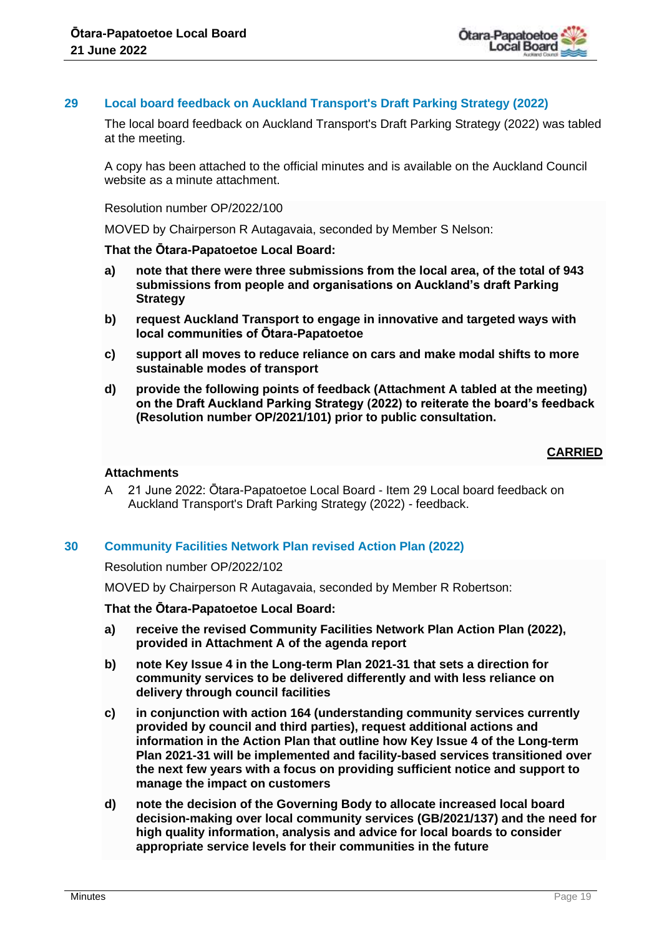

#### **29 Local board feedback on Auckland Transport's Draft Parking Strategy (2022)**

The local board feedback on Auckland Transport's Draft Parking Strategy (2022) was tabled at the meeting.

A copy has been attached to the official minutes and is available on the Auckland Council website as a minute attachment.

Resolution number OP/2022/100

MOVED by Chairperson R Autagavaia, seconded by Member S Nelson:

#### **That the Ōtara-Papatoetoe Local Board:**

- **a) note that there were three submissions from the local area, of the total of 943 submissions from people and organisations on Auckland's draft Parking Strategy**
- **b) request Auckland Transport to engage in innovative and targeted ways with local communities of Ōtara-Papatoetoe**
- **c) support all moves to reduce reliance on cars and make modal shifts to more sustainable modes of transport**
- **d) provide the following points of feedback (Attachment A tabled at the meeting) on the Draft Auckland Parking Strategy (2022) to reiterate the board's feedback (Resolution number OP/2021/101) prior to public consultation.**

#### **CARRIED**

#### **Attachments**

A 21 June 2022: Ōtara-Papatoetoe Local Board - Item 29 Local board feedback on Auckland Transport's Draft Parking Strategy (2022) - feedback.

#### **30 Community Facilities Network Plan revised Action Plan (2022)**

#### Resolution number OP/2022/102

MOVED by Chairperson R Autagavaia, seconded by Member R Robertson:

#### **That the Ōtara-Papatoetoe Local Board:**

- **a) receive the revised Community Facilities Network Plan Action Plan (2022), provided in Attachment A of the agenda report**
- **b) note Key Issue 4 in the Long-term Plan 2021-31 that sets a direction for community services to be delivered differently and with less reliance on delivery through council facilities**
- **c) in conjunction with action 164 (understanding community services currently provided by council and third parties), request additional actions and information in the Action Plan that outline how Key Issue 4 of the Long-term Plan 2021-31 will be implemented and facility-based services transitioned over the next few years with a focus on providing sufficient notice and support to manage the impact on customers**
- **d) note the decision of the Governing Body to allocate increased local board decision-making over local community services (GB/2021/137) and the need for high quality information, analysis and advice for local boards to consider appropriate service levels for their communities in the future**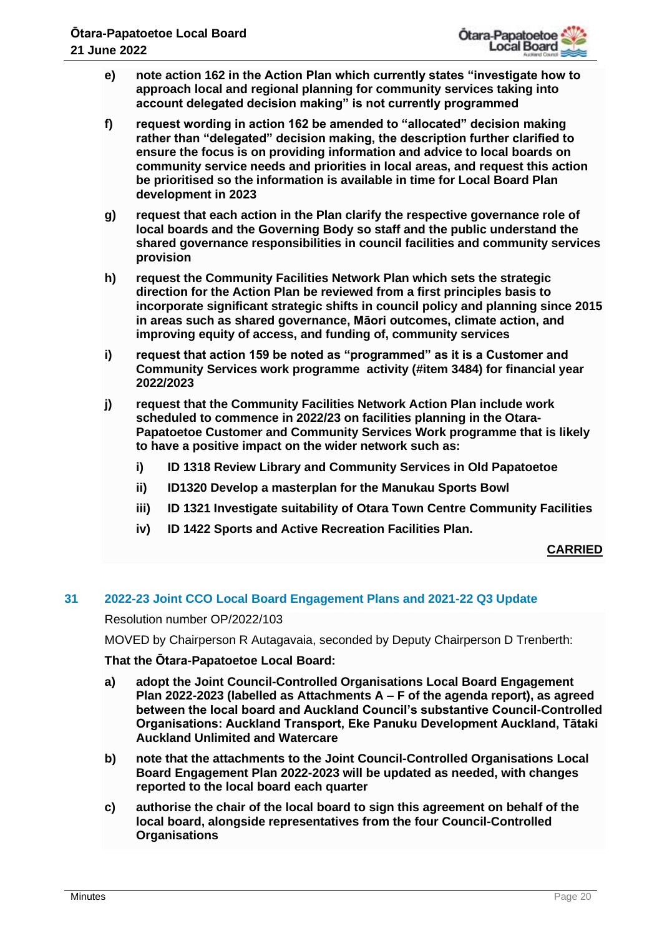- **e) note action 162 in the Action Plan which currently states "investigate how to approach local and regional planning for community services taking into account delegated decision making" is not currently programmed**
- **f) request wording in action 162 be amended to "allocated" decision making rather than "delegated" decision making, the description further clarified to ensure the focus is on providing information and advice to local boards on community service needs and priorities in local areas, and request this action be prioritised so the information is available in time for Local Board Plan development in 2023**
- **g) request that each action in the Plan clarify the respective governance role of local boards and the Governing Body so staff and the public understand the shared governance responsibilities in council facilities and community services provision**
- **h) request the Community Facilities Network Plan which sets the strategic direction for the Action Plan be reviewed from a first principles basis to incorporate significant strategic shifts in council policy and planning since 2015 in areas such as shared governance, Māori outcomes, climate action, and improving equity of access, and funding of, community services**
- **i) request that action 159 be noted as "programmed" as it is a Customer and Community Services work programme activity (#item 3484) for financial year 2022/2023**
- **j) request that the Community Facilities Network Action Plan include work scheduled to commence in 2022/23 on facilities planning in the Otara-Papatoetoe Customer and Community Services Work programme that is likely to have a positive impact on the wider network such as:**
	- **i) ID 1318 Review Library and Community Services in Old Papatoetoe**
	- **ii) ID1320 Develop a masterplan for the Manukau Sports Bowl**
	- **iii) ID 1321 Investigate suitability of Otara Town Centre Community Facilities**
	- **iv) ID 1422 Sports and Active Recreation Facilities Plan.**

## **CARRIED**

## **31 2022-23 Joint CCO Local Board Engagement Plans and 2021-22 Q3 Update**

Resolution number OP/2022/103

MOVED by Chairperson R Autagavaia, seconded by Deputy Chairperson D Trenberth:

## **That the Ōtara-Papatoetoe Local Board:**

- **a) adopt the Joint Council-Controlled Organisations Local Board Engagement Plan 2022-2023 (labelled as Attachments A – F of the agenda report), as agreed between the local board and Auckland Council's substantive Council-Controlled Organisations: Auckland Transport, Eke Panuku Development Auckland, Tātaki Auckland Unlimited and Watercare**
- **b) note that the attachments to the Joint Council-Controlled Organisations Local Board Engagement Plan 2022-2023 will be updated as needed, with changes reported to the local board each quarter**
- **c) authorise the chair of the local board to sign this agreement on behalf of the local board, alongside representatives from the four Council-Controlled Organisations**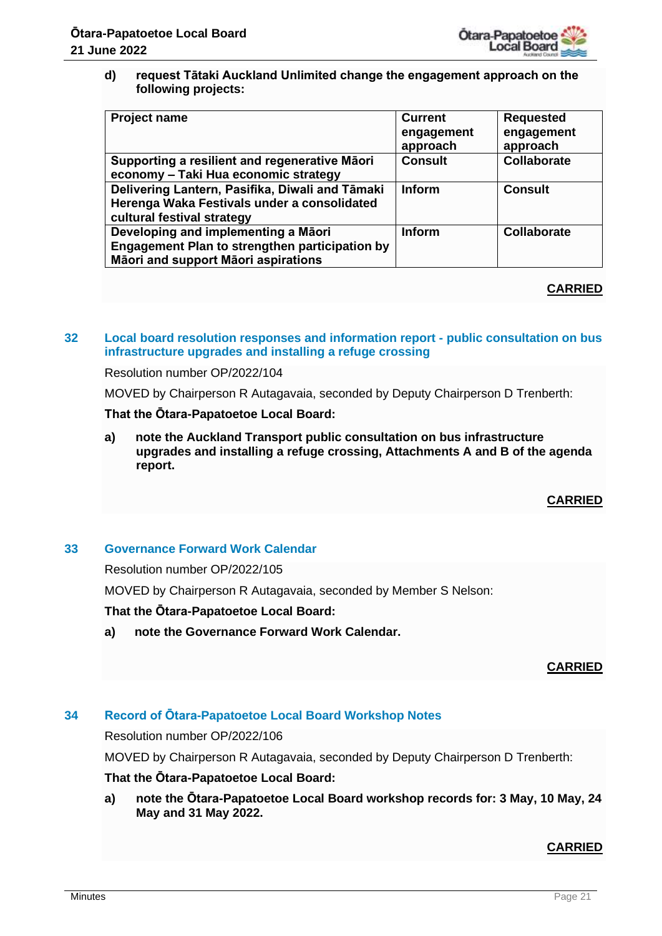

**d) request Tātaki Auckland Unlimited change the engagement approach on the following projects:**

| <b>Project name</b>                                                                                                          | <b>Current</b><br>engagement<br>approach | <b>Requested</b><br>engagement<br>approach |
|------------------------------------------------------------------------------------------------------------------------------|------------------------------------------|--------------------------------------------|
| Supporting a resilient and regenerative Māori<br>economy – Taki Hua economic strategy                                        | <b>Consult</b>                           | Collaborate                                |
| Delivering Lantern, Pasifika, Diwali and Tāmaki<br>Herenga Waka Festivals under a consolidated<br>cultural festival strategy | <b>Inform</b>                            | <b>Consult</b>                             |
| Developing and implementing a Māori<br>Engagement Plan to strengthen participation by<br>Māori and support Māori aspirations | <b>Inform</b>                            | <b>Collaborate</b>                         |

## **CARRIED**

## **32 Local board resolution responses and information report - public consultation on bus infrastructure upgrades and installing a refuge crossing**

Resolution number OP/2022/104

MOVED by Chairperson R Autagavaia, seconded by Deputy Chairperson D Trenberth:

## **That the Ōtara-Papatoetoe Local Board:**

**a) note the Auckland Transport public consultation on bus infrastructure upgrades and installing a refuge crossing, Attachments A and B of the agenda report.**

## **CARRIED**

## **33 Governance Forward Work Calendar**

Resolution number OP/2022/105

MOVED by Chairperson R Autagavaia, seconded by Member S Nelson:

#### **That the Ōtara-Papatoetoe Local Board:**

**a) note the Governance Forward Work Calendar.**

## **CARRIED**

## **34 Record of Ōtara-Papatoetoe Local Board Workshop Notes**

Resolution number OP/2022/106

MOVED by Chairperson R Autagavaia, seconded by Deputy Chairperson D Trenberth:

#### **That the Ōtara-Papatoetoe Local Board:**

**a) note the Ōtara-Papatoetoe Local Board workshop records for: 3 May, 10 May, 24 May and 31 May 2022.**